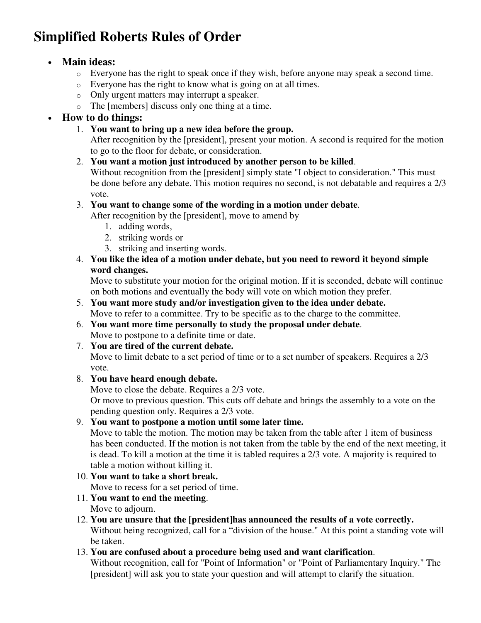## **Simplified Roberts Rules of Order**

## • **Main ideas:**

- o Everyone has the right to speak once if they wish, before anyone may speak a second time.
- o Everyone has the right to know what is going on at all times.
- o Only urgent matters may interrupt a speaker.
- o The [members] discuss only one thing at a time.

## • **How to do things:**

1. **You want to bring up a new idea before the group.**

After recognition by the [president], present your motion. A second is required for the motion to go to the floor for debate, or consideration.

2. **You want a motion just introduced by another person to be killed**.

Without recognition from the [president] simply state "I object to consideration." This must be done before any debate. This motion requires no second, is not debatable and requires a 2/3 vote.

3. **You want to change some of the wording in a motion under debate**.

After recognition by the [president], move to amend by

- 1. adding words,
- 2. striking words or
- 3. striking and inserting words.
- 4. **You like the idea of a motion under debate, but you need to reword it beyond simple word changes.**

Move to substitute your motion for the original motion. If it is seconded, debate will continue on both motions and eventually the body will vote on which motion they prefer.

- 5. **You want more study and/or investigation given to the idea under debate.** Move to refer to a committee. Try to be specific as to the charge to the committee.
- 6. **You want more time personally to study the proposal under debate**. Move to postpone to a definite time or date.
- 7. **You are tired of the current debate.**

Move to limit debate to a set period of time or to a set number of speakers. Requires a 2/3 vote.

8. **You have heard enough debate.**

Move to close the debate. Requires a 2/3 vote.

Or move to previous question. This cuts off debate and brings the assembly to a vote on the pending question only. Requires a 2/3 vote.

9. **You want to postpone a motion until some later time.**

Move to table the motion. The motion may be taken from the table after 1 item of business has been conducted. If the motion is not taken from the table by the end of the next meeting, it is dead. To kill a motion at the time it is tabled requires a 2/3 vote. A majority is required to table a motion without killing it.

- 10. **You want to take a short break.** Move to recess for a set period of time.
- 11. **You want to end the meeting**. Move to adjourn.
- 12. **You are unsure that the [president]has announced the results of a vote correctly.** Without being recognized, call for a "division of the house." At this point a standing vote will be taken.
- 13. **You are confused about a procedure being used and want clarification**. Without recognition, call for "Point of Information" or "Point of Parliamentary Inquiry." The [president] will ask you to state your question and will attempt to clarify the situation.